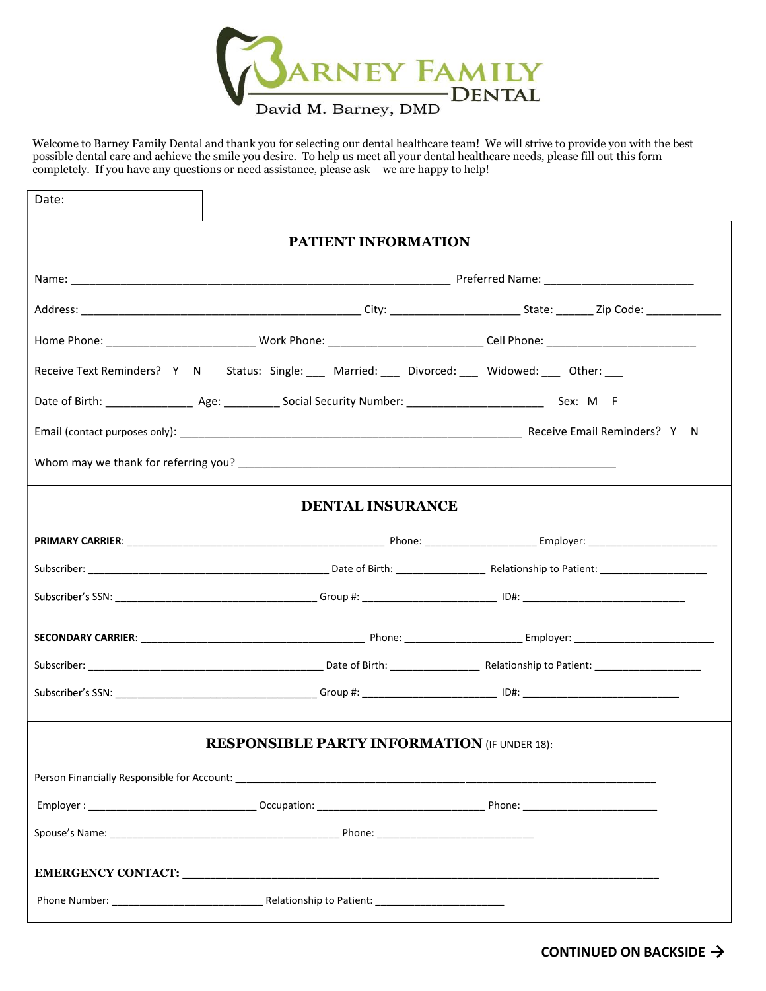

Welcome to Barney Family Dental and thank you for selecting our dental healthcare team! We will strive to provide you with the best possible dental care and achieve the smile you desire. To help us meet all your dental healthcare needs, please fill out this form completely. If you have any questions or need assistance, please ask - we are happy to help!

| Date: |                                                                                                    |  |
|-------|----------------------------------------------------------------------------------------------------|--|
|       | PATIENT INFORMATION                                                                                |  |
|       |                                                                                                    |  |
|       |                                                                                                    |  |
|       |                                                                                                    |  |
|       | Receive Text Reminders? Y N Status: Single: ___ Married: ___ Divorced: ___ Widowed: ___ Other: ___ |  |
|       |                                                                                                    |  |
|       |                                                                                                    |  |
|       |                                                                                                    |  |
|       | <b>DENTAL INSURANCE</b>                                                                            |  |
|       |                                                                                                    |  |
|       |                                                                                                    |  |
|       |                                                                                                    |  |
|       |                                                                                                    |  |
|       |                                                                                                    |  |
|       |                                                                                                    |  |
|       | <b>RESPONSIBLE PARTY INFORMATION (IF UNDER 18):</b>                                                |  |
|       |                                                                                                    |  |
|       |                                                                                                    |  |
|       |                                                                                                    |  |
|       |                                                                                                    |  |
|       |                                                                                                    |  |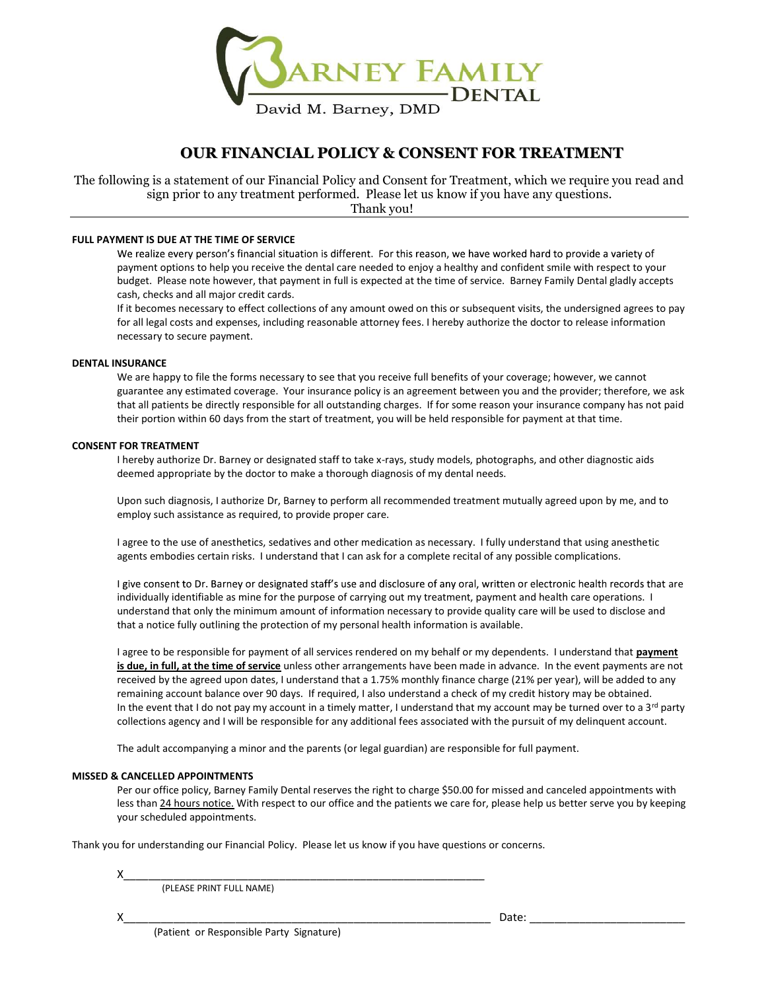

## OUR FINANCIAL POLICY & CONSENT FOR TREATMENT

The following is a statement of our Financial Policy and Consent for Treatment, which we require you read and sign prior to any treatment performed. Please let us know if you have any questions. Thank you!

#### FULL PAYMENT IS DUE AT THE TIME OF SERVICE

We realize every person's financial situation is different. For this reason, we have worked hard to provide a variety of payment options to help you receive the dental care needed to enjoy a healthy and confident smile with respect to your budget. Please note however, that payment in full is expected at the time of service. Barney Family Dental gladly accepts cash, checks and all major credit cards.

If it becomes necessary to effect collections of any amount owed on this or subsequent visits, the undersigned agrees to pay for all legal costs and expenses, including reasonable attorney fees. I hereby authorize the doctor to release information necessary to secure payment.

#### DENTAL INSURANCE

We are happy to file the forms necessary to see that you receive full benefits of your coverage; however, we cannot guarantee any estimated coverage. Your insurance policy is an agreement between you and the provider; therefore, we ask that all patients be directly responsible for all outstanding charges. If for some reason your insurance company has not paid their portion within 60 days from the start of treatment, you will be held responsible for payment at that time.

#### CONSENT FOR TREATMENT

I hereby authorize Dr. Barney or designated staff to take x-rays, study models, photographs, and other diagnostic aids deemed appropriate by the doctor to make a thorough diagnosis of my dental needs.

 Upon such diagnosis, I authorize Dr, Barney to perform all recommended treatment mutually agreed upon by me, and to employ such assistance as required, to provide proper care.

I agree to the use of anesthetics, sedatives and other medication as necessary. I fully understand that using anesthetic

agents embodies certain risks. I understand that I can ask for a complete recital of any possible complications.<br>I give consent to Dr. Barney or designated staff's use and disclosure of any oral, written or electronic heal understand that only the minimum amount of information necessary to provide quality care will be used to disclose and that a notice fully outlining the protection of my personal health information is available.

I agree to be responsible for payment of all services rendered on my behalf or my dependents. I understand that payment is due, in full, at the time of service unless other arrangements have been made in advance. In the event payments are not received by the agreed upon dates, I understand that a 1.75% monthly finance charge (21% per year), will be added to any remaining account balance over 90 days. If required, I also understand a check of my credit history may be obtained. In the event that I do not pay my account in a timely matter, I understand that my account may be turned over to a  $3^{rd}$  party collections agency and I will be responsible for any additional fees associated with the pursuit of my delinquent account.

The adult accompanying a minor and the parents (or legal guardian) are responsible for full payment.

#### MISSED & CANCELLED APPOINTMENTS

Per our office policy, Barney Family Dental reserves the right to charge \$50.00 for missed and canceled appointments with less than 24 hours notice. With respect to our office and the patients we care for, please help us better serve you by keeping your scheduled appointments.

Thank you for understanding our Financial Policy. Please let us know if you have questions or concerns.

(PLEASE PRINT FULL NAME)

(Patient or Responsible Party Signature)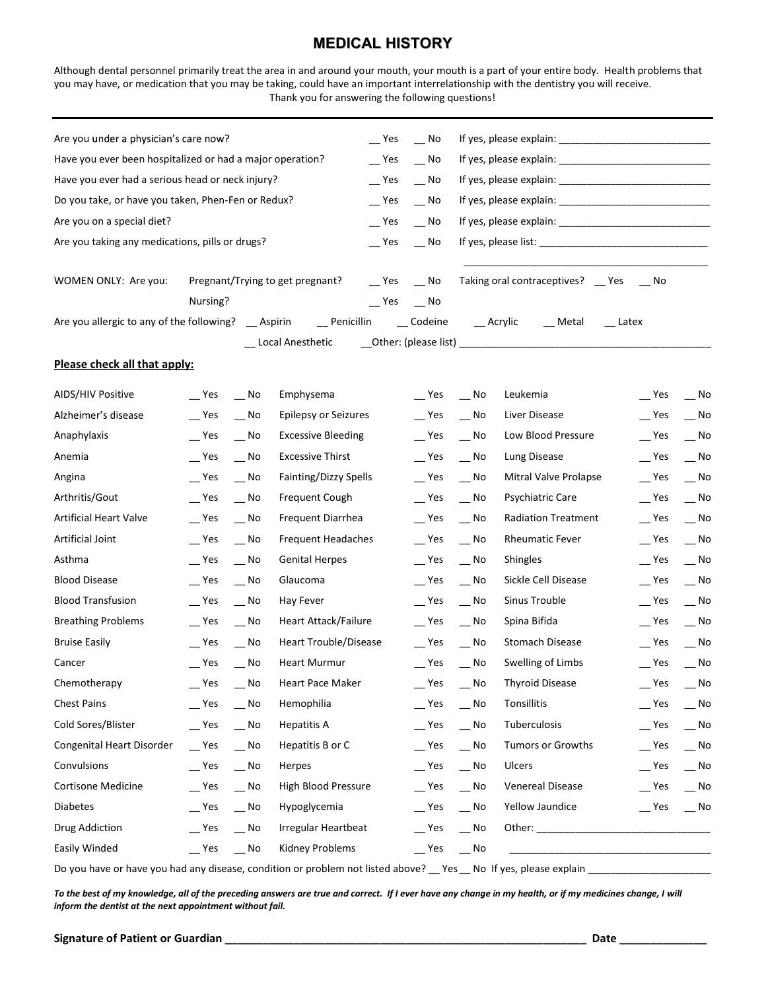# MEDICAL HISTORY

|                                                                                                                                                                                                                                                                                                                                                           |                  |                             | Thank you for answering the following questions! |              | <b>MEDICAL HISTORY</b>      |                                                                     | Although dental personnel primarily treat the area in and around your mouth, your mouth is a part of your entire body. Health problems that<br>you may have, or medication that you may be taking, could have an important interrelationship with the dentistry you will receive. |                  |                                                                                                                                                                                                                                |
|-----------------------------------------------------------------------------------------------------------------------------------------------------------------------------------------------------------------------------------------------------------------------------------------------------------------------------------------------------------|------------------|-----------------------------|--------------------------------------------------|--------------|-----------------------------|---------------------------------------------------------------------|-----------------------------------------------------------------------------------------------------------------------------------------------------------------------------------------------------------------------------------------------------------------------------------|------------------|--------------------------------------------------------------------------------------------------------------------------------------------------------------------------------------------------------------------------------|
|                                                                                                                                                                                                                                                                                                                                                           |                  |                             |                                                  |              |                             |                                                                     |                                                                                                                                                                                                                                                                                   |                  |                                                                                                                                                                                                                                |
| Are you under a physician's care now?                                                                                                                                                                                                                                                                                                                     |                  |                             |                                                  |              | $Yes$ No                    |                                                                     |                                                                                                                                                                                                                                                                                   |                  |                                                                                                                                                                                                                                |
| Have you ever been hospitalized or had a major operation?                                                                                                                                                                                                                                                                                                 |                  |                             |                                                  | $-$ Yes      | $-$ No                      |                                                                     |                                                                                                                                                                                                                                                                                   |                  |                                                                                                                                                                                                                                |
| Have you ever had a serious head or neck injury?                                                                                                                                                                                                                                                                                                          |                  |                             |                                                  |              | $Yes$ No                    |                                                                     |                                                                                                                                                                                                                                                                                   |                  |                                                                                                                                                                                                                                |
| Do you take, or have you taken, Phen-Fen or Redux?                                                                                                                                                                                                                                                                                                        |                  |                             |                                                  | $\equiv$ Yes | $\overline{\phantom{0}}$ No |                                                                     |                                                                                                                                                                                                                                                                                   |                  |                                                                                                                                                                                                                                |
| Are you on a special diet?                                                                                                                                                                                                                                                                                                                                |                  |                             |                                                  | $\equiv$ Yes | $-$ No                      |                                                                     |                                                                                                                                                                                                                                                                                   |                  |                                                                                                                                                                                                                                |
| Are you taking any medications, pills or drugs?                                                                                                                                                                                                                                                                                                           |                  |                             |                                                  | $\equiv$ Yes | $\overline{\phantom{0}}$ No |                                                                     |                                                                                                                                                                                                                                                                                   |                  |                                                                                                                                                                                                                                |
| WOMEN ONLY: Are you:                                                                                                                                                                                                                                                                                                                                      |                  |                             | Pregnant/Trying to get pregnant?                 |              | $P$ Yes $P$ No              |                                                                     | Taking oral contraceptives? _ Yes _ _ No                                                                                                                                                                                                                                          |                  |                                                                                                                                                                                                                                |
|                                                                                                                                                                                                                                                                                                                                                           | Nursing?         |                             |                                                  |              | $Yes$ No                    |                                                                     |                                                                                                                                                                                                                                                                                   |                  |                                                                                                                                                                                                                                |
| Are you allergic to any of the following? __ Aspirin                                                                                                                                                                                                                                                                                                      |                  |                             |                                                  |              | _Penicillin ___ Codeine     |                                                                     | __ Acrylic<br>__ Metal __ Latex                                                                                                                                                                                                                                                   |                  |                                                                                                                                                                                                                                |
| Please check all that apply:                                                                                                                                                                                                                                                                                                                              |                  |                             | Local Anesthetic                                 |              |                             |                                                                     |                                                                                                                                                                                                                                                                                   |                  |                                                                                                                                                                                                                                |
| AIDS/HIV Positive                                                                                                                                                                                                                                                                                                                                         | Yes              | $\overline{\phantom{0}}$ No | Emphysema                                        |              | $\equiv$ Yes                | __ No                                                               | Leukemia                                                                                                                                                                                                                                                                          | $\equiv$ Yes     | $\overline{\phantom{0}}$ No                                                                                                                                                                                                    |
| Alzheimer's disease                                                                                                                                                                                                                                                                                                                                       | $\mathsf{I}$ Yes | $\mathbf{N}^{\mathsf{o}}$   | <b>Epilepsy or Seizures</b>                      |              | $-$ Yes                     | $\overline{\phantom{0}}$ No                                         | Liver Disease                                                                                                                                                                                                                                                                     | $\mathsf{I}$ Yes | $\equiv$ No                                                                                                                                                                                                                    |
| Anaphylaxis                                                                                                                                                                                                                                                                                                                                               | $\mathsf{L}$ Yes | $\overline{\phantom{0}}$ No |                                                  |              |                             |                                                                     |                                                                                                                                                                                                                                                                                   |                  |                                                                                                                                                                                                                                |
|                                                                                                                                                                                                                                                                                                                                                           |                  |                             | <b>Excessive Bleeding</b>                        |              | $\equiv$ Yes                | $\overline{\phantom{0}}$ No                                         | Low Blood Pressure                                                                                                                                                                                                                                                                | $\equiv$ Yes     | $\overline{\phantom{0}}$ No                                                                                                                                                                                                    |
|                                                                                                                                                                                                                                                                                                                                                           | $\mathsf{I}$ Yes | $-$ No                      | <b>Excessive Thirst</b>                          |              | $\equiv$ Yes                | $\overline{\phantom{0}}$ No                                         | Lung Disease                                                                                                                                                                                                                                                                      | $-$ Yes          | $-$ No                                                                                                                                                                                                                         |
|                                                                                                                                                                                                                                                                                                                                                           | $\mathsf{L}$ Yes | $\overline{\phantom{0}}$ No | Fainting/Dizzy Spells                            |              | Yes                         | $\overline{\phantom{0}}$ No                                         | Mitral Valve Prolapse                                                                                                                                                                                                                                                             | $\equiv$ Yes     | $\overline{\phantom{0}}$ No                                                                                                                                                                                                    |
|                                                                                                                                                                                                                                                                                                                                                           | $\mathsf{L}$ Yes | $\mathbf{N}^{\mathsf{o}}$   | Frequent Cough                                   |              | $\mathsf{L}$ Yes            | $\overline{\phantom{0}}$ No                                         | Psychiatric Care                                                                                                                                                                                                                                                                  | $\mathsf{L}$ Yes | $\overline{\phantom{0}}$ No                                                                                                                                                                                                    |
|                                                                                                                                                                                                                                                                                                                                                           | $\mathsf{I}$ Yes | No.                         | Frequent Diarrhea                                |              | $\equiv$ Yes                | $\overline{\phantom{0}}$ No                                         | <b>Radiation Treatment</b>                                                                                                                                                                                                                                                        | $-$ Yes          | $\overline{\phantom{a}}$ No                                                                                                                                                                                                    |
|                                                                                                                                                                                                                                                                                                                                                           | $\mathsf{L}$ Yes | $-$ No                      | Frequent Headaches                               |              | $\equiv$ Yes                | $\overline{\phantom{a}}$ No                                         | <b>Rheumatic Fever</b>                                                                                                                                                                                                                                                            | $-$ Yes          | $-$ No                                                                                                                                                                                                                         |
|                                                                                                                                                                                                                                                                                                                                                           | Yes              | $\overline{\phantom{0}}$ No | <b>Genital Herpes</b>                            |              | $\mathsf{L}$ Yes            | __ No                                                               | <b>Shingles</b>                                                                                                                                                                                                                                                                   | $\equiv$ Yes     | $-$ No                                                                                                                                                                                                                         |
|                                                                                                                                                                                                                                                                                                                                                           | $\mathsf{I}$ Yes | $\overline{\phantom{0}}$ No | Glaucoma                                         |              | $\mathsf{L}$ Yes            | $\overline{\phantom{0}}$ No                                         | Sickle Cell Disease                                                                                                                                                                                                                                                               | $-$ Yes          |                                                                                                                                                                                                                                |
|                                                                                                                                                                                                                                                                                                                                                           | $\mathsf{I}$ Yes | $-$ No                      | Hay Fever                                        |              | $\equiv$ Yes                | $\overline{\phantom{0}}$ No                                         | Sinus Trouble                                                                                                                                                                                                                                                                     | $\mathsf{I}$ Yes |                                                                                                                                                                                                                                |
|                                                                                                                                                                                                                                                                                                                                                           | $\mathsf{I}$ Yes | $\overline{\phantom{0}}$ No | Heart Attack/Failure                             |              | $-$ Yes                     | $-$ No                                                              | Spina Bifida                                                                                                                                                                                                                                                                      | $-$ Yes          |                                                                                                                                                                                                                                |
|                                                                                                                                                                                                                                                                                                                                                           | $\mathsf{L}$ Yes | $\overline{\phantom{0}}$ No | Heart Trouble/Disease                            |              | $\equiv$ Yes                | __ No                                                               | Stomach Disease                                                                                                                                                                                                                                                                   | $\equiv$ Yes     |                                                                                                                                                                                                                                |
|                                                                                                                                                                                                                                                                                                                                                           | $\mathsf{I}$ Yes | $\overline{\phantom{0}}$ No | Heart Murmur                                     |              | $\mathsf{L}$ Yes            | $\overline{\phantom{0}}$ No                                         | Swelling of Limbs                                                                                                                                                                                                                                                                 | $-$ Yes          |                                                                                                                                                                                                                                |
|                                                                                                                                                                                                                                                                                                                                                           | $\mathsf{L}$ Yes | $-$ No                      | Heart Pace Maker                                 |              | $\equiv$ Yes                | $-$ No                                                              | <b>Thyroid Disease</b>                                                                                                                                                                                                                                                            | $-$ Yes          |                                                                                                                                                                                                                                |
|                                                                                                                                                                                                                                                                                                                                                           | $-$ Yes          | $\overline{\phantom{0}}$ No | Hemophilia                                       |              | $\equiv$ Yes                | $-$ No                                                              | Tonsillitis                                                                                                                                                                                                                                                                       | $-$ Yes          |                                                                                                                                                                                                                                |
|                                                                                                                                                                                                                                                                                                                                                           | $\mathsf{I}$ Yes | $-$ No                      | Hepatitis A                                      |              | $\mathsf{I}$ Yes            | __ No                                                               | Tuberculosis                                                                                                                                                                                                                                                                      | $\equiv$ Yes     |                                                                                                                                                                                                                                |
|                                                                                                                                                                                                                                                                                                                                                           | $\mathsf{I}$ Yes | $\overline{\phantom{0}}$ No | Hepatitis B or C                                 |              | $\mathsf{L}^{\mathsf{Yes}}$ | $\mathrel{\mathop{\rule{0pt}{0pt}}\nolimits_{\rule{0pt}{3pt}}}}$ No | Tumors or Growths                                                                                                                                                                                                                                                                 | $\mathsf{I}$ Yes |                                                                                                                                                                                                                                |
|                                                                                                                                                                                                                                                                                                                                                           | $\mathsf{L}$ Yes | $\mathbf{N}^{\mathsf{o}}$   | Herpes                                           |              | $\equiv$ Yes                | $\overline{\phantom{0}}$ No                                         | Ulcers                                                                                                                                                                                                                                                                            | $\equiv$ Yes     | $\overline{\phantom{a}}$ No<br>$\overline{\phantom{0}}$ No<br>$-$ No<br>$\overline{\phantom{0}}$ No<br>$\overline{\phantom{0}}$ No<br>$-$ No<br>$\overline{\phantom{0}}$ No<br>$-$ No<br>$-$ No<br>$\overline{\phantom{0}}$ No |
| Anemia<br>Angina<br>Arthritis/Gout<br><b>Artificial Heart Valve</b><br>Artificial Joint<br>Asthma<br><b>Blood Disease</b><br><b>Blood Transfusion</b><br><b>Breathing Problems</b><br><b>Bruise Easily</b><br>Cancer<br>Chemotherapy<br><b>Chest Pains</b><br>Cold Sores/Blister<br>Congenital Heart Disorder<br>Convulsions<br><b>Cortisone Medicine</b> | $\mathsf{I}$ Yes | $-$ No                      | High Blood Pressure                              |              | $\equiv$ Yes                | $\overline{\phantom{0}}$ No                                         | Venereal Disease                                                                                                                                                                                                                                                                  | $P$ Yes $P$ No   |                                                                                                                                                                                                                                |
| <b>Diabetes</b>                                                                                                                                                                                                                                                                                                                                           | $\equiv$ Yes     | $\overline{\phantom{0}}$ No | Hypoglycemia                                     |              | $\equiv$ Yes                | $\overline{\phantom{a}}$ No                                         | Yellow Jaundice                                                                                                                                                                                                                                                                   | $P$ Yes $P$ No   |                                                                                                                                                                                                                                |
| Drug Addiction                                                                                                                                                                                                                                                                                                                                            | $\mathsf{L}$ Yes | $\overline{\phantom{0}}$ No | Irregular Heartbeat                              |              | $\mathsf{L}$ Yes            | $\sim$ No                                                           |                                                                                                                                                                                                                                                                                   |                  |                                                                                                                                                                                                                                |

Do you have or have you had any disease, condition or problem not listed above? \_\_ Yes \_\_ No If yes, please explain \_\_

To the best of my knowledge, all of the preceding answers are true and correct. If I ever have any change in my health, or if my medicines change, I will inform the dentist at the next appointment without fail.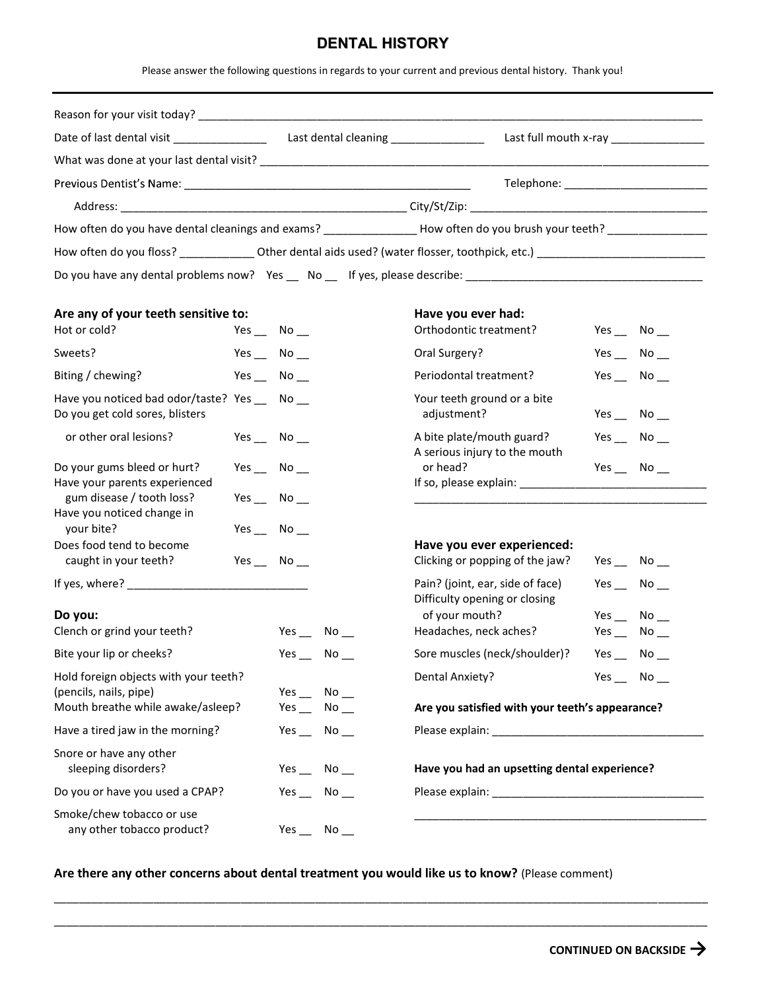## DENTAL HISTORY

|                                                                                  |  |                                                 | <b>DENTAL HISTORY</b> |                                                                                                                                                                                                                                |                      |  |
|----------------------------------------------------------------------------------|--|-------------------------------------------------|-----------------------|--------------------------------------------------------------------------------------------------------------------------------------------------------------------------------------------------------------------------------|----------------------|--|
|                                                                                  |  |                                                 |                       | Please answer the following questions in regards to your current and previous dental history. Thank you!                                                                                                                       |                      |  |
|                                                                                  |  |                                                 |                       |                                                                                                                                                                                                                                |                      |  |
|                                                                                  |  |                                                 |                       | Last full mouth x-ray ________________                                                                                                                                                                                         |                      |  |
|                                                                                  |  |                                                 |                       |                                                                                                                                                                                                                                |                      |  |
|                                                                                  |  |                                                 |                       |                                                                                                                                                                                                                                |                      |  |
|                                                                                  |  |                                                 |                       |                                                                                                                                                                                                                                |                      |  |
|                                                                                  |  |                                                 |                       | How often do you have dental cleanings and exams? ________________How often do you brush your teeth? ____________                                                                                                              |                      |  |
|                                                                                  |  |                                                 |                       | How often do you floss? _____________________Other dental aids used? (water flosser, toothpick, etc.) _________________________________                                                                                        |                      |  |
|                                                                                  |  |                                                 |                       |                                                                                                                                                                                                                                |                      |  |
| Are any of your teeth sensitive to:                                              |  |                                                 |                       | Have you ever had:                                                                                                                                                                                                             |                      |  |
| Hot or cold?                                                                     |  | Yes $\_\$ No $\_\$                              |                       | Orthodontic treatment?                                                                                                                                                                                                         | Yes $\_\$ No $\_\$   |  |
| Sweets?                                                                          |  | Yes $\_\$ No $\_\$                              |                       | Oral Surgery?                                                                                                                                                                                                                  | Yes $\_\_$ No $\_\_$ |  |
| Biting / chewing?                                                                |  | Yes $\_\$ No $\_\$                              |                       | Periodontal treatment?                                                                                                                                                                                                         | Yes $\_\_$ No $\_\_$ |  |
| Have you noticed bad odor/taste? Yes __ No __<br>Do you get cold sores, blisters |  |                                                 |                       | Your teeth ground or a bite<br>adjustment?                                                                                                                                                                                     | Yes $\_\$ No $\_\$   |  |
| or other oral lesions?                                                           |  | Yes $\_\,$ No $\_\,$                            |                       | A bite plate/mouth guard?<br>A serious injury to the mouth                                                                                                                                                                     | Yes $\_\_$ No $\_\_$ |  |
| Do your gums bleed or hurt?<br>Have your parents experienced                     |  | Yes $\_\,$ No $\_\,$                            |                       | or head?                                                                                                                                                                                                                       | Yes $\_\,$ No $\_\,$ |  |
| gum disease / tooth loss?<br>Have you noticed change in                          |  | Yes $\_\,$ No $\_\,$                            |                       |                                                                                                                                                                                                                                |                      |  |
| your bite?<br>Does food tend to become                                           |  | Yes $\_\$ No $\_\$                              |                       | Have you ever experienced:                                                                                                                                                                                                     |                      |  |
| caught in your teeth?                                                            |  | Yes $\_\_$ No $\_\_$                            |                       | Clicking or popping of the jaw?                                                                                                                                                                                                | Yes No               |  |
|                                                                                  |  |                                                 |                       | Pain? (joint, ear, side of face)<br>Difficulty opening or closing                                                                                                                                                              | Yes $\_\$ No $\_\$   |  |
| Do you:                                                                          |  |                                                 |                       | of your mouth?                                                                                                                                                                                                                 | Yes $\_\$ No $\_\$   |  |
| Clench or grind your teeth?                                                      |  |                                                 | Yes $\_\_$ No $\_\_$  | Headaches, neck aches?                                                                                                                                                                                                         | Yes $\_\_$ No $\_\_$ |  |
| Bite your lip or cheeks?                                                         |  |                                                 | Yes $\_\_$ No $\_\_$  | Sore muscles (neck/shoulder)?                                                                                                                                                                                                  | Yes $\_\_$ No $\_\_$ |  |
| Hold foreign objects with your teeth?<br>(pencils, nails, pipe)                  |  |                                                 | Yes $\_\_$ No $\_\_$  | <b>Dental Anxiety?</b>                                                                                                                                                                                                         | Yes $\_\_$ No $\_\_$ |  |
| Mouth breathe while awake/asleep?<br>Yes $\_\_$ No $\_\_$                        |  | Are you satisfied with your teeth's appearance? |                       |                                                                                                                                                                                                                                |                      |  |
| Have a tired jaw in the morning?                                                 |  |                                                 | Yes No                | Please explain: Note and the set of the set of the set of the set of the set of the set of the set of the set of the set of the set of the set of the set of the set of the set of the set of the set of the set of the set of |                      |  |
| Snore or have any other<br>sleeping disorders?                                   |  |                                                 | Yes $\_\$ No $\_\$    | Have you had an upsetting dental experience?                                                                                                                                                                                   |                      |  |
| Do you or have you used a CPAP?                                                  |  |                                                 | Yes $\_\_$ No $\_\_$  |                                                                                                                                                                                                                                |                      |  |
| Smoke/chew tobacco or use<br>any other tobacco product?                          |  | Yes                                             | No                    |                                                                                                                                                                                                                                |                      |  |

Are there any other concerns about dental treatment you would like us to know? (Please comment)

\_\_\_\_\_\_\_\_\_\_\_\_\_\_\_\_\_\_\_\_\_\_\_\_\_\_\_\_\_\_\_\_\_\_\_\_\_\_\_\_\_\_\_\_\_\_\_\_\_\_\_\_\_\_\_\_\_\_\_\_\_\_\_\_\_\_\_\_\_\_\_\_\_\_\_\_\_\_\_\_\_\_\_\_\_\_\_\_\_\_\_\_\_\_\_\_\_\_\_\_\_\_\_\_\_